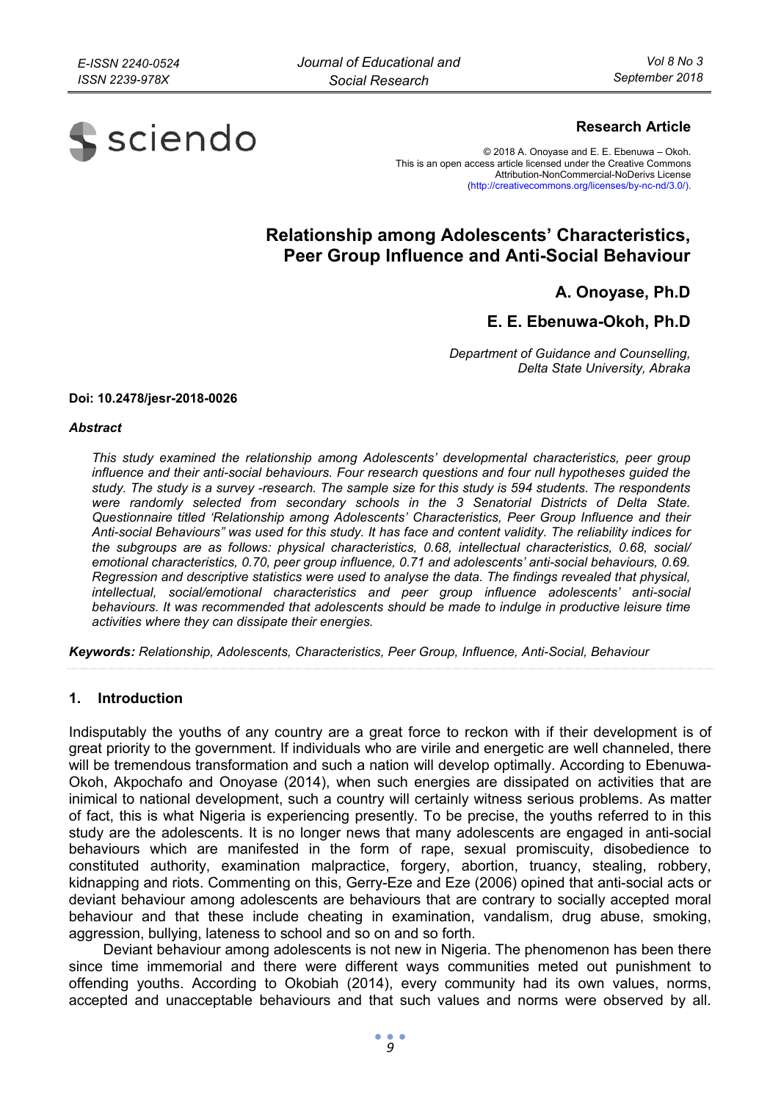

### **Research Article**

© 2018 A. Onoyase and E. E. Ebenuwa – Okoh. This is an open access article licensed under the Creative Commons Attribution-NonCommercial-NoDerivs License (http://creativecommons.org/licenses/by-nc-nd/3.0/).

# **Relationship among Adolescents' Characteristics, Peer Group Influence and Anti-Social Behaviour**

**A. Onoyase, Ph.D** 

## **E. E. Ebenuwa-Okoh, Ph.D**

*Department of Guidance and Counselling, Delta State University, Abraka* 

#### **Doi: 10.2478/jesr-2018-0026**

#### *Abstract*

*This study examined the relationship among Adolescents' developmental characteristics, peer group influence and their anti-social behaviours. Four research questions and four null hypotheses guided the study. The study is a survey -research. The sample size for this study is 594 students. The respondents were randomly selected from secondary schools in the 3 Senatorial Districts of Delta State. Questionnaire titled 'Relationship among Adolescents' Characteristics, Peer Group Influence and their Anti-social Behaviours" was used for this study. It has face and content validity. The reliability indices for the subgroups are as follows: physical characteristics, 0.68, intellectual characteristics, 0.68, social/ emotional characteristics, 0.70, peer group influence, 0.71 and adolescents' anti-social behaviours, 0.69. Regression and descriptive statistics were used to analyse the data. The findings revealed that physical, intellectual, social/emotional characteristics and peer group influence adolescents' anti-social behaviours. It was recommended that adolescents should be made to indulge in productive leisure time activities where they can dissipate their energies.* 

*Keywords: Relationship, Adolescents, Characteristics, Peer Group, Influence, Anti-Social, Behaviour*

#### **1. Introduction**

Indisputably the youths of any country are a great force to reckon with if their development is of great priority to the government. If individuals who are virile and energetic are well channeled, there will be tremendous transformation and such a nation will develop optimally. According to Ebenuwa-Okoh, Akpochafo and Onoyase (2014), when such energies are dissipated on activities that are inimical to national development, such a country will certainly witness serious problems. As matter of fact, this is what Nigeria is experiencing presently. To be precise, the youths referred to in this study are the adolescents. It is no longer news that many adolescents are engaged in anti-social behaviours which are manifested in the form of rape, sexual promiscuity, disobedience to constituted authority, examination malpractice, forgery, abortion, truancy, stealing, robbery, kidnapping and riots. Commenting on this, Gerry-Eze and Eze (2006) opined that anti-social acts or deviant behaviour among adolescents are behaviours that are contrary to socially accepted moral behaviour and that these include cheating in examination, vandalism, drug abuse, smoking, aggression, bullying, lateness to school and so on and so forth.

Deviant behaviour among adolescents is not new in Nigeria. The phenomenon has been there since time immemorial and there were different ways communities meted out punishment to offending youths. According to Okobiah (2014), every community had its own values, norms, accepted and unacceptable behaviours and that such values and norms were observed by all.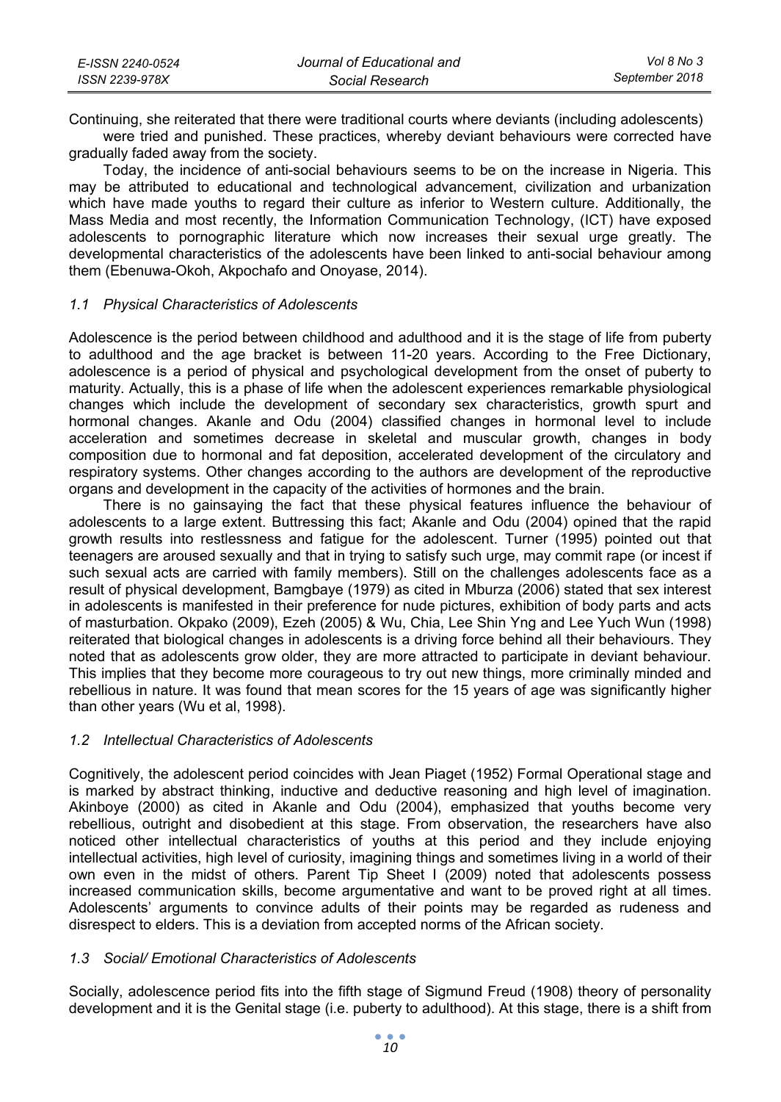| E-ISSN 2240-0524 | Journal of Educational and | Vol 8 No 3     |
|------------------|----------------------------|----------------|
| ISSN 2239-978X   | Social Research            | September 2018 |

Continuing, she reiterated that there were traditional courts where deviants (including adolescents)

were tried and punished. These practices, whereby deviant behaviours were corrected have gradually faded away from the society.

Today, the incidence of anti-social behaviours seems to be on the increase in Nigeria. This may be attributed to educational and technological advancement, civilization and urbanization which have made youths to regard their culture as inferior to Western culture. Additionally, the Mass Media and most recently, the Information Communication Technology, (ICT) have exposed adolescents to pornographic literature which now increases their sexual urge greatly. The developmental characteristics of the adolescents have been linked to anti-social behaviour among them (Ebenuwa-Okoh, Akpochafo and Onoyase, 2014).

#### *1.1 Physical Characteristics of Adolescents*

Adolescence is the period between childhood and adulthood and it is the stage of life from puberty to adulthood and the age bracket is between 11-20 years. According to the Free Dictionary, adolescence is a period of physical and psychological development from the onset of puberty to maturity. Actually, this is a phase of life when the adolescent experiences remarkable physiological changes which include the development of secondary sex characteristics, growth spurt and hormonal changes. Akanle and Odu (2004) classified changes in hormonal level to include acceleration and sometimes decrease in skeletal and muscular growth, changes in body composition due to hormonal and fat deposition, accelerated development of the circulatory and respiratory systems. Other changes according to the authors are development of the reproductive organs and development in the capacity of the activities of hormones and the brain.

There is no gainsaying the fact that these physical features influence the behaviour of adolescents to a large extent. Buttressing this fact; Akanle and Odu (2004) opined that the rapid growth results into restlessness and fatigue for the adolescent. Turner (1995) pointed out that teenagers are aroused sexually and that in trying to satisfy such urge, may commit rape (or incest if such sexual acts are carried with family members). Still on the challenges adolescents face as a result of physical development, Bamgbaye (1979) as cited in Mburza (2006) stated that sex interest in adolescents is manifested in their preference for nude pictures, exhibition of body parts and acts of masturbation. Okpako (2009), Ezeh (2005) & Wu, Chia, Lee Shin Yng and Lee Yuch Wun (1998) reiterated that biological changes in adolescents is a driving force behind all their behaviours. They noted that as adolescents grow older, they are more attracted to participate in deviant behaviour. This implies that they become more courageous to try out new things, more criminally minded and rebellious in nature. It was found that mean scores for the 15 years of age was significantly higher than other years (Wu et al, 1998).

#### *1.2 Intellectual Characteristics of Adolescents*

Cognitively, the adolescent period coincides with Jean Piaget (1952) Formal Operational stage and is marked by abstract thinking, inductive and deductive reasoning and high level of imagination. Akinboye (2000) as cited in Akanle and Odu (2004), emphasized that youths become very rebellious, outright and disobedient at this stage. From observation, the researchers have also noticed other intellectual characteristics of youths at this period and they include enjoying intellectual activities, high level of curiosity, imagining things and sometimes living in a world of their own even in the midst of others. Parent Tip Sheet I (2009) noted that adolescents possess increased communication skills, become argumentative and want to be proved right at all times. Adolescents' arguments to convince adults of their points may be regarded as rudeness and disrespect to elders. This is a deviation from accepted norms of the African society.

#### *1.3 Social/ Emotional Characteristics of Adolescents*

Socially, adolescence period fits into the fifth stage of Sigmund Freud (1908) theory of personality development and it is the Genital stage (i.e. puberty to adulthood). At this stage, there is a shift from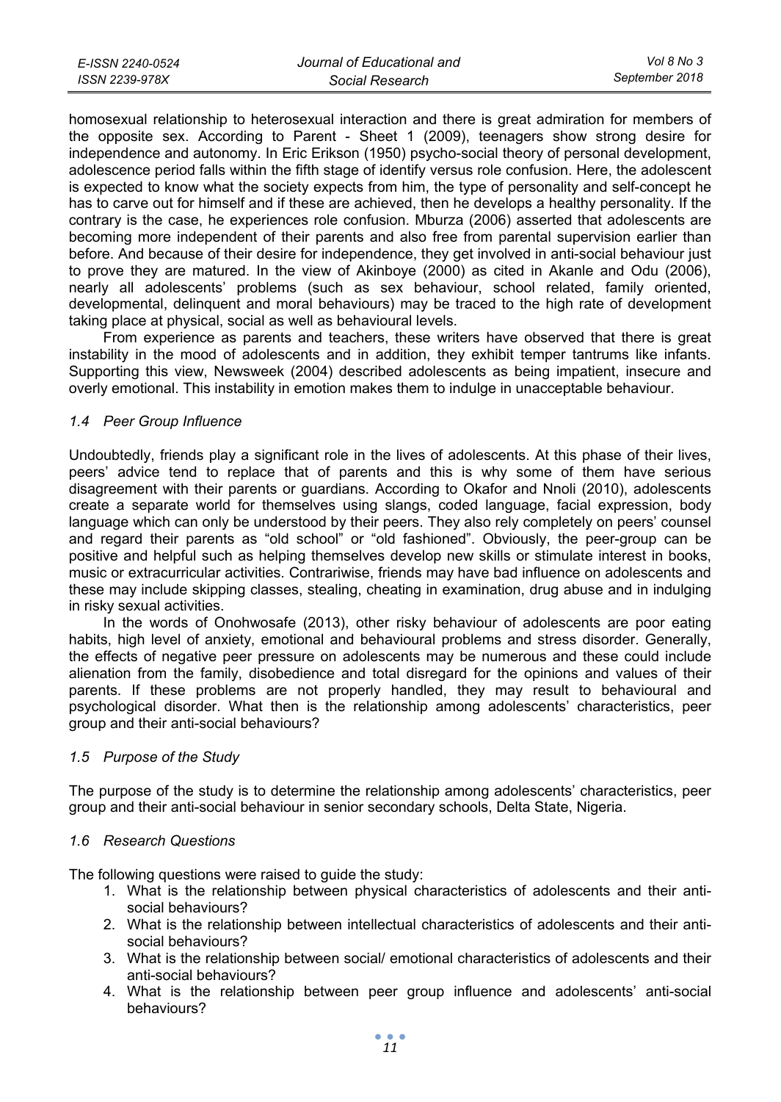| E-ISSN 2240-0524 | Journal of Educational and | Vol 8 No 3     |
|------------------|----------------------------|----------------|
| ISSN 2239-978X   | Social Research            | September 2018 |

homosexual relationship to heterosexual interaction and there is great admiration for members of the opposite sex. According to Parent - Sheet 1 (2009), teenagers show strong desire for independence and autonomy. In Eric Erikson (1950) psycho-social theory of personal development, adolescence period falls within the fifth stage of identify versus role confusion. Here, the adolescent is expected to know what the society expects from him, the type of personality and self-concept he has to carve out for himself and if these are achieved, then he develops a healthy personality. If the contrary is the case, he experiences role confusion. Mburza (2006) asserted that adolescents are becoming more independent of their parents and also free from parental supervision earlier than before. And because of their desire for independence, they get involved in anti-social behaviour just to prove they are matured. In the view of Akinboye (2000) as cited in Akanle and Odu (2006), nearly all adolescents' problems (such as sex behaviour, school related, family oriented, developmental, delinquent and moral behaviours) may be traced to the high rate of development taking place at physical, social as well as behavioural levels.

From experience as parents and teachers, these writers have observed that there is great instability in the mood of adolescents and in addition, they exhibit temper tantrums like infants. Supporting this view, Newsweek (2004) described adolescents as being impatient, insecure and overly emotional. This instability in emotion makes them to indulge in unacceptable behaviour.

#### *1.4 Peer Group Influence*

Undoubtedly, friends play a significant role in the lives of adolescents. At this phase of their lives, peers' advice tend to replace that of parents and this is why some of them have serious disagreement with their parents or guardians. According to Okafor and Nnoli (2010), adolescents create a separate world for themselves using slangs, coded language, facial expression, body language which can only be understood by their peers. They also rely completely on peers' counsel and regard their parents as "old school" or "old fashioned". Obviously, the peer-group can be positive and helpful such as helping themselves develop new skills or stimulate interest in books, music or extracurricular activities. Contrariwise, friends may have bad influence on adolescents and these may include skipping classes, stealing, cheating in examination, drug abuse and in indulging in risky sexual activities.

In the words of Onohwosafe (2013), other risky behaviour of adolescents are poor eating habits, high level of anxiety, emotional and behavioural problems and stress disorder. Generally, the effects of negative peer pressure on adolescents may be numerous and these could include alienation from the family, disobedience and total disregard for the opinions and values of their parents. If these problems are not properly handled, they may result to behavioural and psychological disorder. What then is the relationship among adolescents' characteristics, peer group and their anti-social behaviours?

#### *1.5 Purpose of the Study*

The purpose of the study is to determine the relationship among adolescents' characteristics, peer group and their anti-social behaviour in senior secondary schools, Delta State, Nigeria.

#### *1.6 Research Questions*

The following questions were raised to guide the study:

- 1. What is the relationship between physical characteristics of adolescents and their antisocial behaviours?
- 2. What is the relationship between intellectual characteristics of adolescents and their antisocial behaviours?
- 3. What is the relationship between social/ emotional characteristics of adolescents and their anti-social behaviours?
- 4. What is the relationship between peer group influence and adolescents' anti-social behaviours?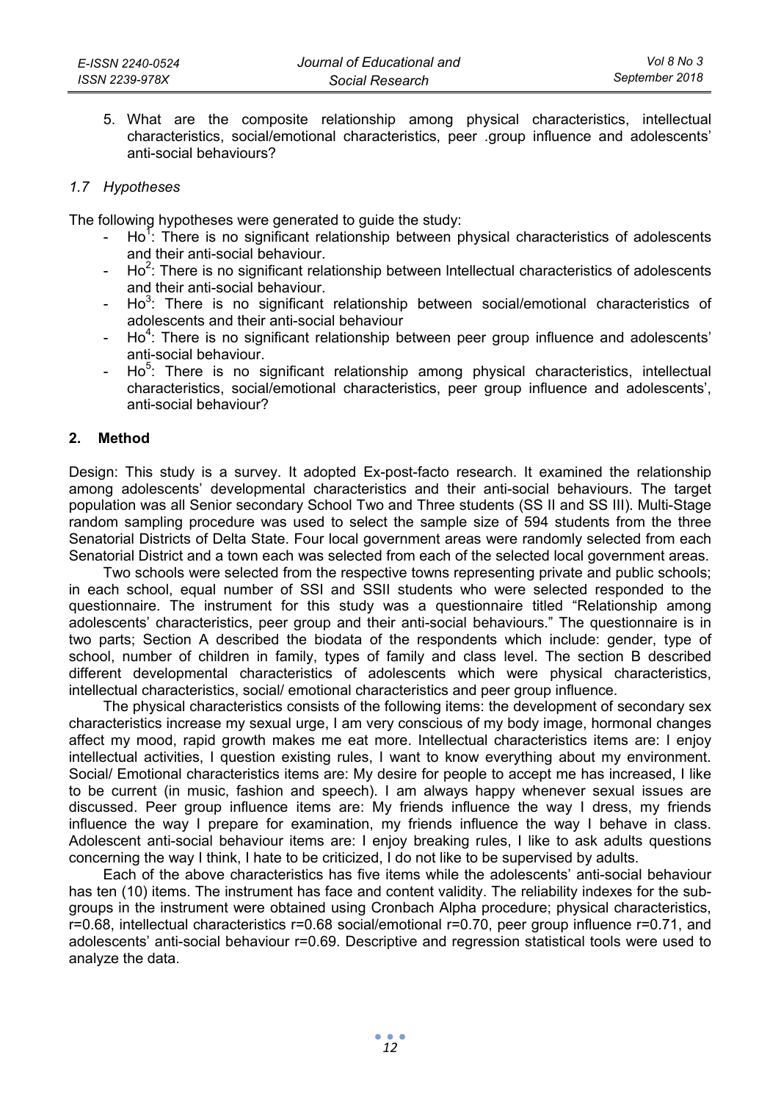5. What are the composite relationship among physical characteristics, intellectual characteristics, social/emotional characteristics, peer .group influence and adolescents' anti-social behaviours?

## *1.7 Hypotheses*

The following hypotheses were generated to guide the study:

- $-$  Ho<sup>1</sup>: There is no significant relationship between physical characteristics of adolescents and their anti-social behaviour.
- $-$  Ho<sup>2</sup>: There is no significant relationship between Intellectual characteristics of adolescents and their anti-social behaviour.
- $Ho^3$ : There is no significant relationship between social/emotional characteristics of adolescents and their anti-social behaviour
- $Ho<sup>4</sup>$ : There is no significant relationship between peer group influence and adolescents' anti-social behaviour.
- $Ho<sup>5</sup>$ : There is no significant relationship among physical characteristics, intellectual characteristics, social/emotional characteristics, peer group influence and adolescents', anti-social behaviour?

#### **2. Method**

Design: This study is a survey. It adopted Ex-post-facto research. It examined the relationship among adolescents' developmental characteristics and their anti-social behaviours. The target population was all Senior secondary School Two and Three students (SS II and SS III). Multi-Stage random sampling procedure was used to select the sample size of 594 students from the three Senatorial Districts of Delta State. Four local government areas were randomly selected from each Senatorial District and a town each was selected from each of the selected local government areas.

Two schools were selected from the respective towns representing private and public schools; in each school, equal number of SSI and SSII students who were selected responded to the questionnaire. The instrument for this study was a questionnaire titled "Relationship among adolescents' characteristics, peer group and their anti-social behaviours." The questionnaire is in two parts; Section A described the biodata of the respondents which include: gender, type of school, number of children in family, types of family and class level. The section B described different developmental characteristics of adolescents which were physical characteristics, intellectual characteristics, social/ emotional characteristics and peer group influence.

The physical characteristics consists of the following items: the development of secondary sex characteristics increase my sexual urge, I am very conscious of my body image, hormonal changes affect my mood, rapid growth makes me eat more. Intellectual characteristics items are: I enjoy intellectual activities, I question existing rules, I want to know everything about my environment. Social/ Emotional characteristics items are: My desire for people to accept me has increased, I like to be current (in music, fashion and speech). I am always happy whenever sexual issues are discussed. Peer group influence items are: My friends influence the way I dress, my friends influence the way I prepare for examination, my friends influence the way I behave in class. Adolescent anti-social behaviour items are: I enjoy breaking rules, I like to ask adults questions concerning the way I think, I hate to be criticized, I do not like to be supervised by adults.

Each of the above characteristics has five items while the adolescents' anti-social behaviour has ten (10) items. The instrument has face and content validity. The reliability indexes for the subgroups in the instrument were obtained using Cronbach Alpha procedure; physical characteristics, r=0.68, intellectual characteristics r=0.68 social/emotional r=0.70, peer group influence r=0.71, and adolescents' anti-social behaviour r=0.69. Descriptive and regression statistical tools were used to analyze the data.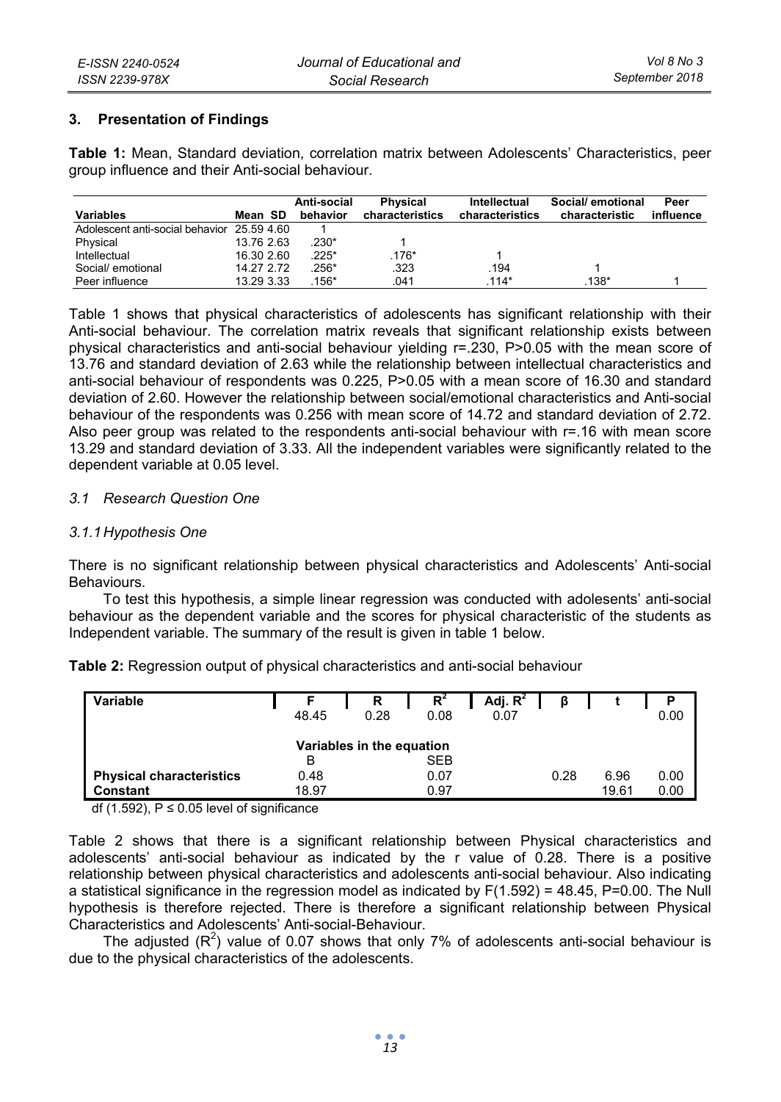## **3. Presentation of Findings**

**Table 1:** Mean, Standard deviation, correlation matrix between Adolescents' Characteristics, peer group influence and their Anti-social behaviour.

| <b>Variables</b>                           | Mean SD    | Anti-social<br>behavior | <b>Physical</b><br>characteristics | Intellectual<br>characteristics | Social/ emotional<br>characteristic | Peer<br>influence |
|--------------------------------------------|------------|-------------------------|------------------------------------|---------------------------------|-------------------------------------|-------------------|
| Adolescent anti-social behavior 25.59 4.60 |            |                         |                                    |                                 |                                     |                   |
| Physical                                   | 13.76 2.63 | $230*$                  |                                    |                                 |                                     |                   |
| Intellectual                               | 16.30 2.60 | $.225*$                 | $.176*$                            |                                 |                                     |                   |
| Social/ emotional                          | 14.27 2.72 | 256*                    | .323                               | .194                            |                                     |                   |
| Peer influence                             | 13.29 3.33 | $156*$                  | 041                                | $.114*$                         | $.138*$                             |                   |

Table 1 shows that physical characteristics of adolescents has significant relationship with their Anti-social behaviour. The correlation matrix reveals that significant relationship exists between physical characteristics and anti-social behaviour yielding r=.230, P>0.05 with the mean score of 13.76 and standard deviation of 2.63 while the relationship between intellectual characteristics and anti-social behaviour of respondents was 0.225, P>0.05 with a mean score of 16.30 and standard deviation of 2.60. However the relationship between social/emotional characteristics and Anti-social behaviour of the respondents was 0.256 with mean score of 14.72 and standard deviation of 2.72. Also peer group was related to the respondents anti-social behaviour with r=.16 with mean score 13.29 and standard deviation of 3.33. All the independent variables were significantly related to the dependent variable at 0.05 level.

#### *3.1 Research Question One*

#### *3.1.1 Hypothesis One*

There is no significant relationship between physical characteristics and Adolescents' Anti-social Behaviours.

To test this hypothesis, a simple linear regression was conducted with adolesents' anti-social behaviour as the dependent variable and the scores for physical characteristic of the students as Independent variable. The summary of the result is given in table 1 below.

| Table 2: Regression output of physical characteristics and anti-social behaviour |  |  |  |
|----------------------------------------------------------------------------------|--|--|--|
|----------------------------------------------------------------------------------|--|--|--|

| Variable                        |       | R                         | $R^4$ | Adj. $R^2$ | ß    |       |      |
|---------------------------------|-------|---------------------------|-------|------------|------|-------|------|
|                                 | 48.45 | 0.28                      | 0.08  | 0.07       |      |       | 0.00 |
|                                 |       |                           |       |            |      |       |      |
|                                 |       | Variables in the equation |       |            |      |       |      |
|                                 | в     |                           | SEB   |            |      |       |      |
| <b>Physical characteristics</b> | 0.48  |                           | 0.07  |            | 0.28 | 6.96  | 0.00 |
| Constant                        | 18.97 |                           | 0.97  |            |      | 19.61 | 0.00 |

df (1.592),  $P \le 0.05$  level of significance

Table 2 shows that there is a significant relationship between Physical characteristics and adolescents' anti-social behaviour as indicated by the r value of 0.28. There is a positive relationship between physical characteristics and adolescents anti-social behaviour. Also indicating a statistical significance in the regression model as indicated by F(1.592) = 48.45, P=0.00. The Null hypothesis is therefore rejected. There is therefore a significant relationship between Physical Characteristics and Adolescents' Anti-social-Behaviour.

The adjusted  $(\mathsf{R}^2)$  value of 0.07 shows that only 7% of adolescents anti-social behaviour is due to the physical characteristics of the adolescents.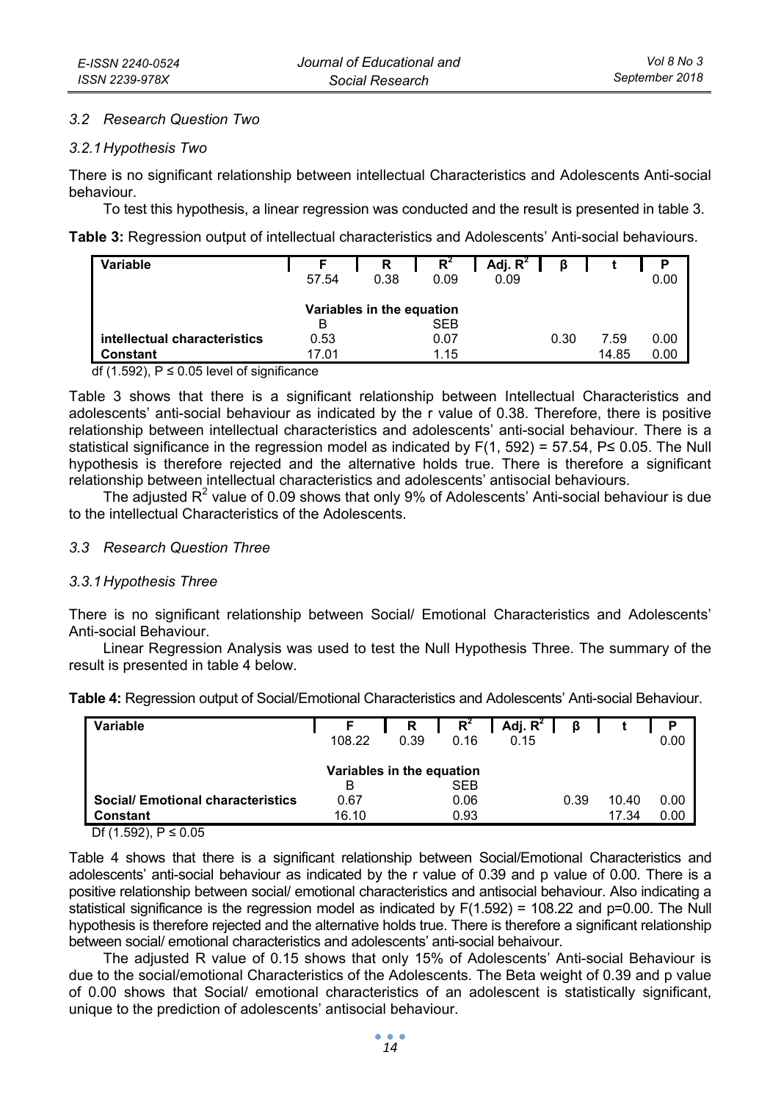#### *3.2 Research Question Two*

#### *3.2.1 Hypothesis Two*

There is no significant relationship between intellectual Characteristics and Adolescents Anti-social behaviour.

To test this hypothesis, a linear regression was conducted and the result is presented in table 3.

**Table 3:** Regression output of intellectual characteristics and Adolescents' Anti-social behaviours.

| Variable                                 | 57.54                          | R<br>0.38 | R<br>0.09    | Adj. $R^2$  <br>0.09 | ß    |               | P<br>0.00    |
|------------------------------------------|--------------------------------|-----------|--------------|----------------------|------|---------------|--------------|
|                                          | Variables in the equation<br>в |           | SEB          |                      |      |               |              |
| intellectual characteristics<br>Constant | 0.53<br>17 01                  |           | 0.07<br>1.15 |                      | 0.30 | 7.59<br>14.85 | 0.00<br>0.00 |

df (1.592),  $P ≤ 0.05$  level of significance

Table 3 shows that there is a significant relationship between Intellectual Characteristics and adolescents' anti-social behaviour as indicated by the r value of 0.38. Therefore, there is positive relationship between intellectual characteristics and adolescents' anti-social behaviour. There is a statistical significance in the regression model as indicated by  $F(1, 592) = 57.54$ ,  $P \le 0.05$ . The Null hypothesis is therefore rejected and the alternative holds true. There is therefore a significant relationship between intellectual characteristics and adolescents' antisocial behaviours.

The adjusted R<sup>2</sup> value of 0.09 shows that only 9% of Adolescents' Anti-social behaviour is due to the intellectual Characteristics of the Adolescents.

### *3.3 Research Question Three*

#### *3.3.1 Hypothesis Three*

There is no significant relationship between Social/ Emotional Characteristics and Adolescents' Anti-social Behaviour.

Linear Regression Analysis was used to test the Null Hypothesis Three. The summary of the result is presented in table 4 below.

| Variable                                |        | R    | $R^2$ | Adj. $R^2$ | ß    |       | P    |  |
|-----------------------------------------|--------|------|-------|------------|------|-------|------|--|
|                                         | 108.22 | 0.39 | 0.16  | 0.15       |      |       | 0.00 |  |
| Variables in the equation               |        |      |       |            |      |       |      |  |
|                                         | в      |      | SEB   |            |      |       |      |  |
| <b>Social/Emotional characteristics</b> | 0.67   |      | 0.06  |            | 0.39 | 10.40 | 0.00 |  |
| <b>Constant</b>                         | 16.10  |      | 0.93  |            |      | 17.34 | 0.00 |  |

**Table 4:** Regression output of Social/Emotional Characteristics and Adolescents' Anti-social Behaviour.

Df (1.592),  $P ≤ 0.05$ 

Table 4 shows that there is a significant relationship between Social/Emotional Characteristics and adolescents' anti-social behaviour as indicated by the r value of 0.39 and p value of 0.00. There is a positive relationship between social/ emotional characteristics and antisocial behaviour. Also indicating a statistical significance is the regression model as indicated by F(1.592) = 108.22 and p=0.00. The Null hypothesis is therefore rejected and the alternative holds true. There is therefore a significant relationship between social/ emotional characteristics and adolescents' anti-social behaivour.

The adjusted R value of 0.15 shows that only 15% of Adolescents' Anti-social Behaviour is due to the social/emotional Characteristics of the Adolescents. The Beta weight of 0.39 and p value of 0.00 shows that Social/ emotional characteristics of an adolescent is statistically significant, unique to the prediction of adolescents' antisocial behaviour.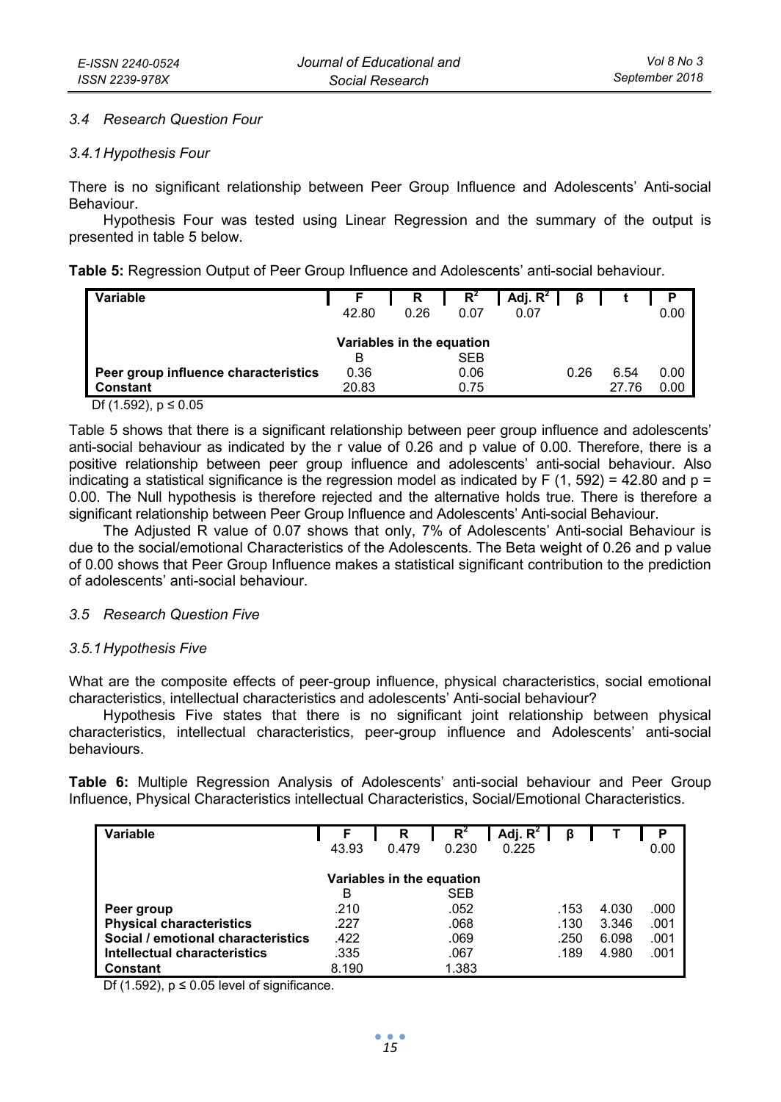#### *3.4 Research Question Four*

#### *3.4.1 Hypothesis Four*

There is no significant relationship between Peer Group Influence and Adolescents' Anti-social Behaviour.

Hypothesis Four was tested using Linear Regression and the summary of the output is presented in table 5 below.

**Table 5:** Regression Output of Peer Group Influence and Adolescents' anti-social behaviour.

| Variable                             |                           | R.   | $R^4$ | $Adj. R^2$ $\beta$ |      |       | P    |
|--------------------------------------|---------------------------|------|-------|--------------------|------|-------|------|
|                                      | 42.80                     | 0.26 | 0.07  | 0.07               |      |       | 0.00 |
|                                      |                           |      |       |                    |      |       |      |
|                                      | Variables in the equation |      |       |                    |      |       |      |
|                                      | в                         |      | SEB   |                    |      |       |      |
| Peer group influence characteristics | 0.36                      |      | 0.06  |                    | 0.26 | 6.54  | 0.00 |
| Constant                             | 20.83                     |      | 0.75  |                    |      | 27.76 | 0.00 |

Df  $(1.592)$ , p ≤ 0.05

Table 5 shows that there is a significant relationship between peer group influence and adolescents' anti-social behaviour as indicated by the r value of 0.26 and p value of 0.00. Therefore, there is a positive relationship between peer group influence and adolescents' anti-social behaviour. Also indicating a statistical significance is the regression model as indicated by F (1, 592) = 42.80 and  $p =$ 0.00. The Null hypothesis is therefore rejected and the alternative holds true. There is therefore a significant relationship between Peer Group Influence and Adolescents' Anti-social Behaviour.

The Adjusted R value of 0.07 shows that only, 7% of Adolescents' Anti-social Behaviour is due to the social/emotional Characteristics of the Adolescents. The Beta weight of 0.26 and p value of 0.00 shows that Peer Group Influence makes a statistical significant contribution to the prediction of adolescents' anti-social behaviour.

#### *3.5 Research Question Five*

#### *3.5.1 Hypothesis Five*

What are the composite effects of peer-group influence, physical characteristics, social emotional characteristics, intellectual characteristics and adolescents' Anti-social behaviour?

Hypothesis Five states that there is no significant joint relationship between physical characteristics, intellectual characteristics, peer-group influence and Adolescents' anti-social behaviours.

**Table 6:** Multiple Regression Analysis of Adolescents' anti-social behaviour and Peer Group Influence, Physical Characteristics intellectual Characteristics, Social/Emotional Characteristics.

| Variable                           |       | R                         | $R^2$      | Adj. $R^2$ | β    |       | Р    |
|------------------------------------|-------|---------------------------|------------|------------|------|-------|------|
|                                    | 43.93 | 0.479                     | 0.230      | 0.225      |      |       | 0.00 |
|                                    |       |                           |            |            |      |       |      |
|                                    |       | Variables in the equation |            |            |      |       |      |
|                                    | в     |                           | <b>SEB</b> |            |      |       |      |
| Peer group                         | .210  |                           | .052       |            | .153 | 4.030 | .000 |
| <b>Physical characteristics</b>    | .227  |                           | .068       |            | .130 | 3.346 | .001 |
| Social / emotional characteristics | .422  |                           | .069       |            | .250 | 6.098 | .001 |
| Intellectual characteristics       | .335  |                           | .067       |            | .189 | 4.980 | .001 |
| Constant                           | 8.190 |                           | 1.383      |            |      |       |      |

Df (1.592),  $p \le 0.05$  level of significance.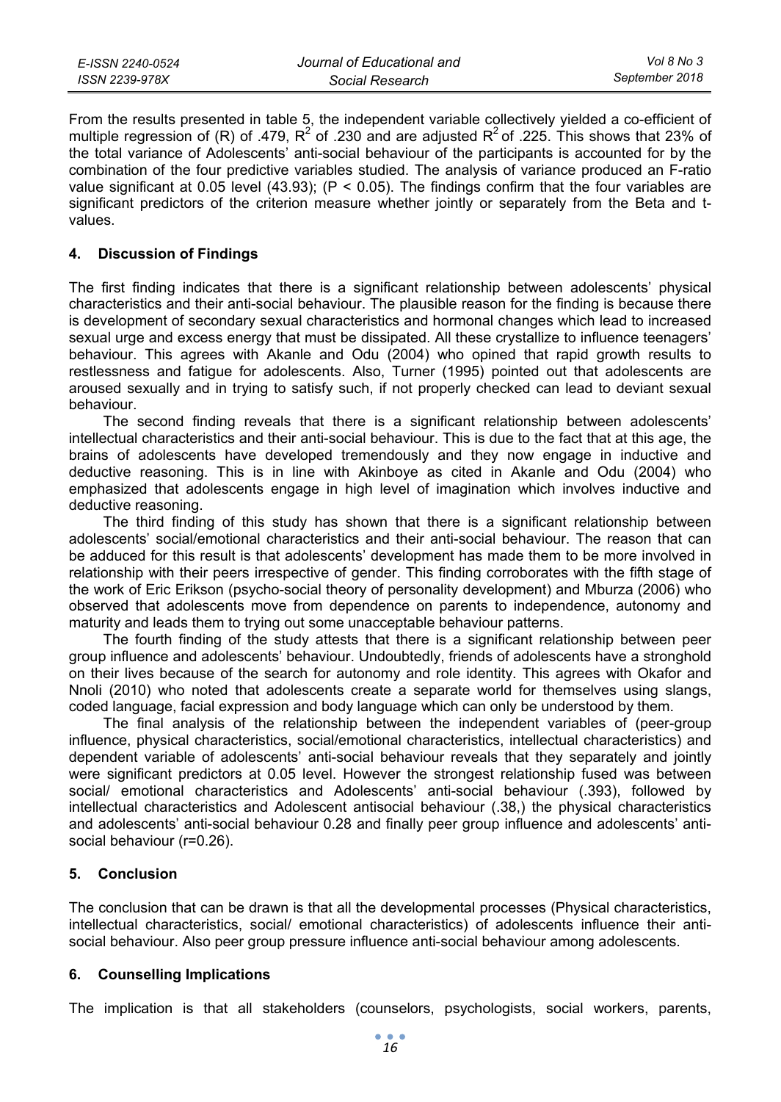| E-ISSN 2240-0524 | Journal of Educational and | Vol 8 No 3     |
|------------------|----------------------------|----------------|
| ISSN 2239-978X   | Social Research            | September 2018 |

From the results presented in table 5, the independent variable collectively yielded a co-efficient of multiple regression of (R) of .479, R<sup>2</sup> of .230 and are adjusted R<sup>2</sup> of .225. This shows that 23% of the total variance of Adolescents' anti-social behaviour of the participants is accounted for by the combination of the four predictive variables studied. The analysis of variance produced an F-ratio value significant at 0.05 level (43.93); (P < 0.05). The findings confirm that the four variables are significant predictors of the criterion measure whether jointly or separately from the Beta and tvalues.

#### **4. Discussion of Findings**

The first finding indicates that there is a significant relationship between adolescents' physical characteristics and their anti-social behaviour. The plausible reason for the finding is because there is development of secondary sexual characteristics and hormonal changes which lead to increased sexual urge and excess energy that must be dissipated. All these crystallize to influence teenagers' behaviour. This agrees with Akanle and Odu (2004) who opined that rapid growth results to restlessness and fatigue for adolescents. Also, Turner (1995) pointed out that adolescents are aroused sexually and in trying to satisfy such, if not properly checked can lead to deviant sexual behaviour.

The second finding reveals that there is a significant relationship between adolescents' intellectual characteristics and their anti-social behaviour. This is due to the fact that at this age, the brains of adolescents have developed tremendously and they now engage in inductive and deductive reasoning. This is in line with Akinboye as cited in Akanle and Odu (2004) who emphasized that adolescents engage in high level of imagination which involves inductive and deductive reasoning.

The third finding of this study has shown that there is a significant relationship between adolescents' social/emotional characteristics and their anti-social behaviour. The reason that can be adduced for this result is that adolescents' development has made them to be more involved in relationship with their peers irrespective of gender. This finding corroborates with the fifth stage of the work of Eric Erikson (psycho-social theory of personality development) and Mburza (2006) who observed that adolescents move from dependence on parents to independence, autonomy and maturity and leads them to trying out some unacceptable behaviour patterns.

The fourth finding of the study attests that there is a significant relationship between peer group influence and adolescents' behaviour. Undoubtedly, friends of adolescents have a stronghold on their lives because of the search for autonomy and role identity. This agrees with Okafor and Nnoli (2010) who noted that adolescents create a separate world for themselves using slangs, coded language, facial expression and body language which can only be understood by them.

The final analysis of the relationship between the independent variables of (peer-group influence, physical characteristics, social/emotional characteristics, intellectual characteristics) and dependent variable of adolescents' anti-social behaviour reveals that they separately and jointly were significant predictors at 0.05 level. However the strongest relationship fused was between social/ emotional characteristics and Adolescents' anti-social behaviour (.393), followed by intellectual characteristics and Adolescent antisocial behaviour (.38,) the physical characteristics and adolescents' anti-social behaviour 0.28 and finally peer group influence and adolescents' antisocial behaviour (r=0.26).

#### **5. Conclusion**

The conclusion that can be drawn is that all the developmental processes (Physical characteristics, intellectual characteristics, social/ emotional characteristics) of adolescents influence their antisocial behaviour. Also peer group pressure influence anti-social behaviour among adolescents.

### **6. Counselling Implications**

The implication is that all stakeholders (counselors, psychologists, social workers, parents,